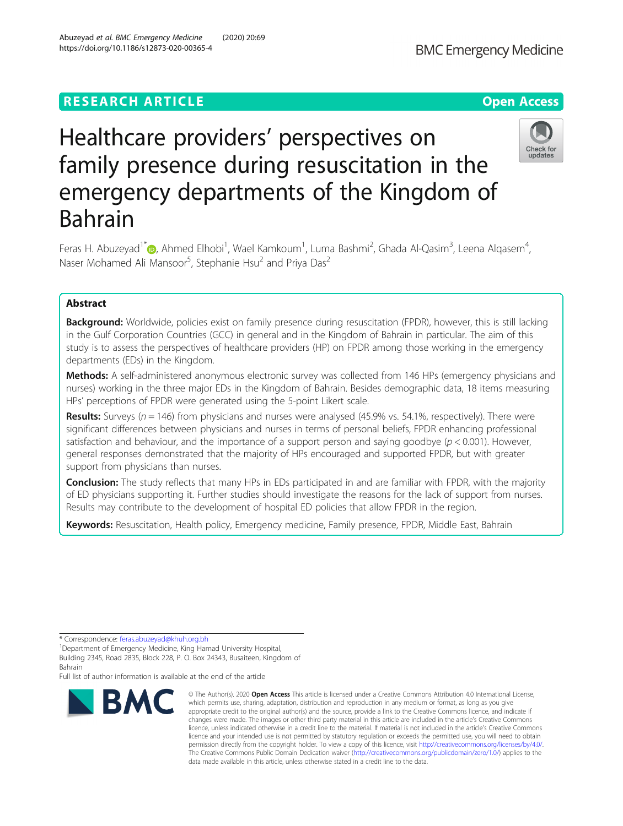# **RESEARCH ARTICLE Example 2014 12:30 The Contract of Contract ACCESS**

# Healthcare providers' perspectives on family presence during resuscitation in the emergency departments of the Kingdom of Bahrain

Feras H. Abuzeyad<sup>1\*</sup> (@, Ahmed Elhobi<sup>1</sup>, Wael Kamkoum<sup>1</sup>, Luma Bashmi<sup>2</sup>, Ghada Al-Qasim<sup>3</sup>, Leena Alqasem<sup>4</sup> , Naser Mohamed Ali Mansoor<sup>5</sup>, Stephanie Hsu<sup>2</sup> and Priya Das<sup>2</sup>

# Abstract

Background: Worldwide, policies exist on family presence during resuscitation (FPDR), however, this is still lacking in the Gulf Corporation Countries (GCC) in general and in the Kingdom of Bahrain in particular. The aim of this study is to assess the perspectives of healthcare providers (HP) on FPDR among those working in the emergency departments (EDs) in the Kingdom.

Methods: A self-administered anonymous electronic survey was collected from 146 HPs (emergency physicians and nurses) working in the three major EDs in the Kingdom of Bahrain. Besides demographic data, 18 items measuring HPs' perceptions of FPDR were generated using the 5-point Likert scale.

Results: Surveys ( $n = 146$ ) from physicians and nurses were analysed (45.9% vs. 54.1%, respectively). There were significant differences between physicians and nurses in terms of personal beliefs, FPDR enhancing professional satisfaction and behaviour, and the importance of a support person and saying goodbye ( $p < 0.001$ ). However, general responses demonstrated that the majority of HPs encouraged and supported FPDR, but with greater support from physicians than nurses.

Conclusion: The study reflects that many HPs in EDs participated in and are familiar with FPDR, with the majority of ED physicians supporting it. Further studies should investigate the reasons for the lack of support from nurses. Results may contribute to the development of hospital ED policies that allow FPDR in the region.

Keywords: Resuscitation, Health policy, Emergency medicine, Family presence, FPDR, Middle East, Bahrain

\* Correspondence: [feras.abuzeyad@khuh.org.bh](mailto:feras.abuzeyad@khuh.org.bh) <sup>1</sup>

**BMC** 

Full list of author information is available at the end of the article

### © The Author(s), 2020 **Open Access** This article is licensed under a Creative Commons Attribution 4.0 International License, which permits use, sharing, adaptation, distribution and reproduction in any medium or format, as long as you give appropriate credit to the original author(s) and the source, provide a link to the Creative Commons licence, and indicate if changes were made. The images or other third party material in this article are included in the article's Creative Commons licence, unless indicated otherwise in a credit line to the material. If material is not included in the article's Creative Commons licence and your intended use is not permitted by statutory regulation or exceeds the permitted use, you will need to obtain permission directly from the copyright holder. To view a copy of this licence, visit [http://creativecommons.org/licenses/by/4.0/.](http://creativecommons.org/licenses/by/4.0/) The Creative Commons Public Domain Dedication waiver [\(http://creativecommons.org/publicdomain/zero/1.0/](http://creativecommons.org/publicdomain/zero/1.0/)) applies to the data made available in this article, unless otherwise stated in a credit line to the data.

Abuzeyad et al. BMC Emergency Medicine (2020) 20:69





<sup>&</sup>lt;sup>1</sup>Department of Emergency Medicine, King Hamad University Hospital, Building 2345, Road 2835, Block 228, P. O. Box 24343, Busaiteen, Kingdom of Bahrain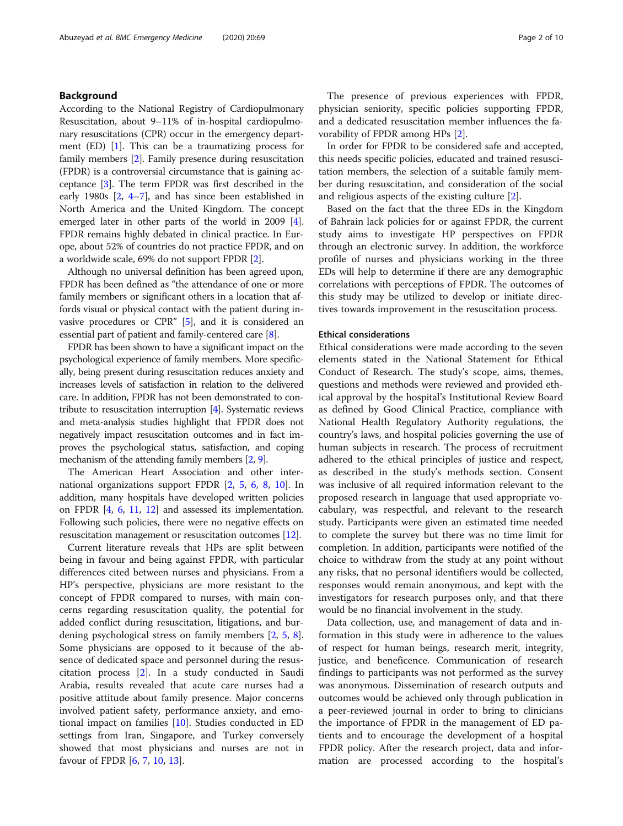# Background

According to the National Registry of Cardiopulmonary Resuscitation, about 9–11% of in-hospital cardiopulmonary resuscitations (CPR) occur in the emergency department (ED) [\[1\]](#page-9-0). This can be a traumatizing process for family members [\[2](#page-9-0)]. Family presence during resuscitation (FPDR) is a controversial circumstance that is gaining acceptance [\[3\]](#page-9-0). The term FPDR was first described in the early 1980s [\[2](#page-9-0), [4](#page-9-0)–[7](#page-9-0)], and has since been established in North America and the United Kingdom. The concept emerged later in other parts of the world in 2009 [[4](#page-9-0)]. FPDR remains highly debated in clinical practice. In Europe, about 52% of countries do not practice FPDR, and on a worldwide scale, 69% do not support FPDR [\[2](#page-9-0)].

Although no universal definition has been agreed upon, FPDR has been defined as "the attendance of one or more family members or significant others in a location that affords visual or physical contact with the patient during invasive procedures or CPR" [\[5\]](#page-9-0), and it is considered an essential part of patient and family-centered care [\[8\]](#page-9-0).

FPDR has been shown to have a significant impact on the psychological experience of family members. More specifically, being present during resuscitation reduces anxiety and increases levels of satisfaction in relation to the delivered care. In addition, FPDR has not been demonstrated to contribute to resuscitation interruption [[4](#page-9-0)]. Systematic reviews and meta-analysis studies highlight that FPDR does not negatively impact resuscitation outcomes and in fact improves the psychological status, satisfaction, and coping mechanism of the attending family members [\[2](#page-9-0), [9](#page-9-0)].

The American Heart Association and other international organizations support FPDR [[2](#page-9-0), [5,](#page-9-0) [6,](#page-9-0) [8](#page-9-0), [10](#page-9-0)]. In addition, many hospitals have developed written policies on FPDR [[4](#page-9-0), [6](#page-9-0), [11](#page-9-0), [12\]](#page-9-0) and assessed its implementation. Following such policies, there were no negative effects on resuscitation management or resuscitation outcomes [\[12\]](#page-9-0).

Current literature reveals that HPs are split between being in favour and being against FPDR, with particular differences cited between nurses and physicians. From a HP's perspective, physicians are more resistant to the concept of FPDR compared to nurses, with main concerns regarding resuscitation quality, the potential for added conflict during resuscitation, litigations, and burdening psychological stress on family members [\[2](#page-9-0), [5,](#page-9-0) [8](#page-9-0)]. Some physicians are opposed to it because of the absence of dedicated space and personnel during the resuscitation process [[2\]](#page-9-0). In a study conducted in Saudi Arabia, results revealed that acute care nurses had a positive attitude about family presence. Major concerns involved patient safety, performance anxiety, and emotional impact on families  $[10]$  $[10]$ . Studies conducted in ED settings from Iran, Singapore, and Turkey conversely showed that most physicians and nurses are not in favour of FPDR [\[6](#page-9-0), [7](#page-9-0), [10](#page-9-0), [13](#page-9-0)].

The presence of previous experiences with FPDR, physician seniority, specific policies supporting FPDR, and a dedicated resuscitation member influences the favorability of FPDR among HPs [\[2](#page-9-0)].

In order for FPDR to be considered safe and accepted, this needs specific policies, educated and trained resuscitation members, the selection of a suitable family member during resuscitation, and consideration of the social and religious aspects of the existing culture [\[2](#page-9-0)].

Based on the fact that the three EDs in the Kingdom of Bahrain lack policies for or against FPDR, the current study aims to investigate HP perspectives on FPDR through an electronic survey. In addition, the workforce profile of nurses and physicians working in the three EDs will help to determine if there are any demographic correlations with perceptions of FPDR. The outcomes of this study may be utilized to develop or initiate directives towards improvement in the resuscitation process.

### Ethical considerations

Ethical considerations were made according to the seven elements stated in the National Statement for Ethical Conduct of Research. The study's scope, aims, themes, questions and methods were reviewed and provided ethical approval by the hospital's Institutional Review Board as defined by Good Clinical Practice, compliance with National Health Regulatory Authority regulations, the country's laws, and hospital policies governing the use of human subjects in research. The process of recruitment adhered to the ethical principles of justice and respect, as described in the study's methods section. Consent was inclusive of all required information relevant to the proposed research in language that used appropriate vocabulary, was respectful, and relevant to the research study. Participants were given an estimated time needed to complete the survey but there was no time limit for completion. In addition, participants were notified of the choice to withdraw from the study at any point without any risks, that no personal identifiers would be collected, responses would remain anonymous, and kept with the investigators for research purposes only, and that there would be no financial involvement in the study.

Data collection, use, and management of data and information in this study were in adherence to the values of respect for human beings, research merit, integrity, justice, and beneficence. Communication of research findings to participants was not performed as the survey was anonymous. Dissemination of research outputs and outcomes would be achieved only through publication in a peer-reviewed journal in order to bring to clinicians the importance of FPDR in the management of ED patients and to encourage the development of a hospital FPDR policy. After the research project, data and information are processed according to the hospital's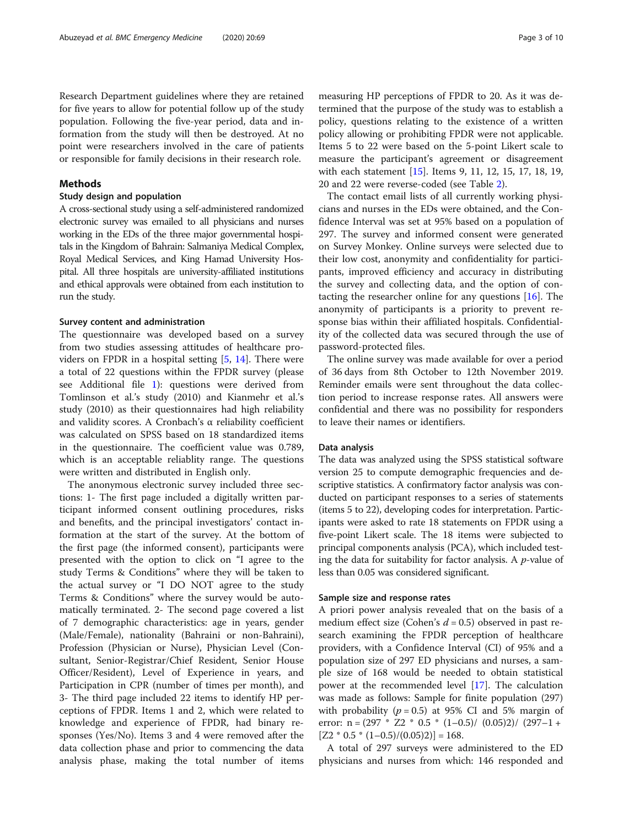Research Department guidelines where they are retained for five years to allow for potential follow up of the study population. Following the five-year period, data and information from the study will then be destroyed. At no point were researchers involved in the care of patients or responsible for family decisions in their research role.

# Methods

# Study design and population

A cross-sectional study using a self-administered randomized electronic survey was emailed to all physicians and nurses working in the EDs of the three major governmental hospitals in the Kingdom of Bahrain: Salmaniya Medical Complex, Royal Medical Services, and King Hamad University Hospital. All three hospitals are university-affiliated institutions and ethical approvals were obtained from each institution to run the study.

### Survey content and administration

The questionnaire was developed based on a survey from two studies assessing attitudes of healthcare providers on FPDR in a hospital setting [\[5](#page-9-0), [14\]](#page-9-0). There were a total of 22 questions within the FPDR survey (please see Additional file [1](#page-8-0)): questions were derived from Tomlinson et al.'s study (2010) and Kianmehr et al.'s study (2010) as their questionnaires had high reliability and validity scores. A Cronbach's α reliability coefficient was calculated on SPSS based on 18 standardized items in the questionnaire. The coefficient value was 0.789, which is an acceptable reliablity range. The questions were written and distributed in English only.

The anonymous electronic survey included three sections: 1- The first page included a digitally written participant informed consent outlining procedures, risks and benefits, and the principal investigators' contact information at the start of the survey. At the bottom of the first page (the informed consent), participants were presented with the option to click on "I agree to the study Terms & Conditions" where they will be taken to the actual survey or "I DO NOT agree to the study Terms & Conditions" where the survey would be automatically terminated. 2- The second page covered a list of 7 demographic characteristics: age in years, gender (Male/Female), nationality (Bahraini or non-Bahraini), Profession (Physician or Nurse), Physician Level (Consultant, Senior-Registrar/Chief Resident, Senior House Officer/Resident), Level of Experience in years, and Participation in CPR (number of times per month), and 3- The third page included 22 items to identify HP perceptions of FPDR. Items 1 and 2, which were related to knowledge and experience of FPDR, had binary responses (Yes/No). Items 3 and 4 were removed after the data collection phase and prior to commencing the data analysis phase, making the total number of items

measuring HP perceptions of FPDR to 20. As it was determined that the purpose of the study was to establish a policy, questions relating to the existence of a written policy allowing or prohibiting FPDR were not applicable. Items 5 to 22 were based on the 5-point Likert scale to measure the participant's agreement or disagreement with each statement [[15](#page-9-0)]. Items 9, 11, 12, 15, 17, 18, 19, 20 and 22 were reverse-coded (see Table [2\)](#page-4-0).

The contact email lists of all currently working physicians and nurses in the EDs were obtained, and the Confidence Interval was set at 95% based on a population of 297. The survey and informed consent were generated on Survey Monkey. Online surveys were selected due to their low cost, anonymity and confidentiality for participants, improved efficiency and accuracy in distributing the survey and collecting data, and the option of contacting the researcher online for any questions [[16\]](#page-9-0). The anonymity of participants is a priority to prevent response bias within their affiliated hospitals. Confidentiality of the collected data was secured through the use of password-protected files.

The online survey was made available for over a period of 36 days from 8th October to 12th November 2019. Reminder emails were sent throughout the data collection period to increase response rates. All answers were confidential and there was no possibility for responders to leave their names or identifiers.

### Data analysis

The data was analyzed using the SPSS statistical software version 25 to compute demographic frequencies and descriptive statistics. A confirmatory factor analysis was conducted on participant responses to a series of statements (items 5 to 22), developing codes for interpretation. Participants were asked to rate 18 statements on FPDR using a five-point Likert scale. The 18 items were subjected to principal components analysis (PCA), which included testing the data for suitability for factor analysis. A  $p$ -value of less than 0.05 was considered significant.

### Sample size and response rates

A priori power analysis revealed that on the basis of a medium effect size (Cohen's  $d = 0.5$ ) observed in past research examining the FPDR perception of healthcare providers, with a Confidence Interval (CI) of 95% and a population size of 297 ED physicians and nurses, a sample size of 168 would be needed to obtain statistical power at the recommended level [[17\]](#page-9-0). The calculation was made as follows: Sample for finite population (297) with probability ( $p = 0.5$ ) at 95% CI and 5% margin of error:  $n = (297 * Z2 * 0.5 * (1-0.5) / (0.05)2) / (297-1 +$  $[Z2 * 0.5 * (1 - 0.5) / (0.05)2] = 168.$ 

A total of 297 surveys were administered to the ED physicians and nurses from which: 146 responded and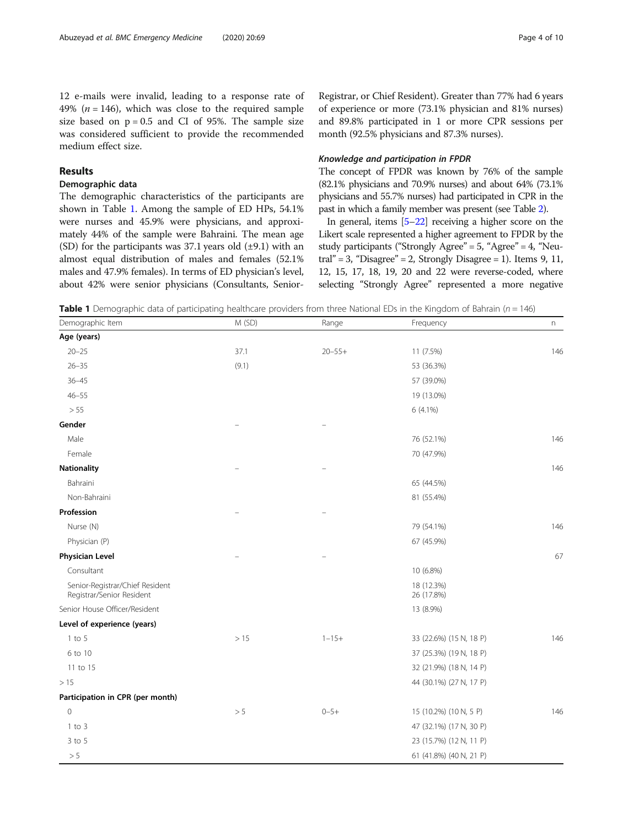12 e-mails were invalid, leading to a response rate of 49% ( $n = 146$ ), which was close to the required sample size based on  $p = 0.5$  and CI of 95%. The sample size was considered sufficient to provide the recommended medium effect size.

# Results

### Demographic data

The demographic characteristics of the participants are shown in Table 1. Among the sample of ED HPs, 54.1% were nurses and 45.9% were physicians, and approximately 44% of the sample were Bahraini. The mean age (SD) for the participants was  $37.1$  years old  $(\pm 9.1)$  with an almost equal distribution of males and females (52.1% males and 47.9% females). In terms of ED physician's level, about 42% were senior physicians (Consultants, Senior-

Registrar, or Chief Resident). Greater than 77% had 6 years of experience or more (73.1% physician and 81% nurses) and 89.8% participated in 1 or more CPR sessions per month (92.5% physicians and 87.3% nurses).

### Knowledge and participation in FPDR

The concept of FPDR was known by 76% of the sample (82.1% physicians and 70.9% nurses) and about 64% (73.1% physicians and 55.7% nurses) had participated in CPR in the past in which a family member was present (see Table [2](#page-4-0)).

In general, items [\[5](#page-9-0)–[22](#page-9-0)] receiving a higher score on the Likert scale represented a higher agreement to FPDR by the study participants ("Strongly Agree"  $= 5$ , "Agree"  $= 4$ , "Neutral" = 3, "Disagree" = 2, Strongly Disagree = 1). Items 9, 11, 12, 15, 17, 18, 19, 20 and 22 were reverse-coded, where selecting "Strongly Agree" represented a more negative

**Table 1** Demographic data of participating healthcare providers from three National EDs in the Kingdom of Bahrain ( $n = 146$ )

| Demographic Item                                             | M (SD) | Range       | Frequency                | n   |
|--------------------------------------------------------------|--------|-------------|--------------------------|-----|
| Age (years)                                                  |        |             |                          |     |
| $20 - 25$                                                    | 37.1   | $20 - 55 +$ | 11 (7.5%)                | 146 |
| $26 - 35$                                                    | (9.1)  |             | 53 (36.3%)               |     |
| $36 - 45$                                                    |        |             | 57 (39.0%)               |     |
| $46 - 55$                                                    |        |             | 19 (13.0%)               |     |
| > 55                                                         |        |             | 6 (4.1%)                 |     |
| Gender                                                       |        |             |                          |     |
| Male                                                         |        |             | 76 (52.1%)               | 146 |
| Female                                                       |        |             | 70 (47.9%)               |     |
| <b>Nationality</b>                                           |        |             |                          | 146 |
| Bahraini                                                     |        |             | 65 (44.5%)               |     |
| Non-Bahraini                                                 |        |             | 81 (55.4%)               |     |
| Profession                                                   |        |             |                          |     |
| Nurse (N)                                                    |        |             | 79 (54.1%)               | 146 |
| Physician (P)                                                |        |             | 67 (45.9%)               |     |
| <b>Physician Level</b>                                       |        |             |                          | 67  |
| Consultant                                                   |        |             | 10 (6.8%)                |     |
| Senior-Registrar/Chief Resident<br>Registrar/Senior Resident |        |             | 18 (12.3%)<br>26 (17.8%) |     |
| Senior House Officer/Resident                                |        |             | 13 (8.9%)                |     |
| Level of experience (years)                                  |        |             |                          |     |
| $1$ to $5$                                                   | >15    | $1 - 15 +$  | 33 (22.6%) (15 N, 18 P)  | 146 |
| 6 to 10                                                      |        |             | 37 (25.3%) (19 N, 18 P)  |     |
| 11 to 15                                                     |        |             | 32 (21.9%) (18 N, 14 P)  |     |
| >15                                                          |        |             | 44 (30.1%) (27 N, 17 P)  |     |
| Participation in CPR (per month)                             |        |             |                          |     |
| $\mathbf 0$                                                  | > 5    | $0 - 5 +$   | 15 (10.2%) (10 N, 5 P)   | 146 |
| $1$ to $3$                                                   |        |             | 47 (32.1%) (17 N, 30 P)  |     |
| $3$ to $5$                                                   |        |             | 23 (15.7%) (12 N, 11 P)  |     |
| > 5                                                          |        |             | 61 (41.8%) (40 N, 21 P)  |     |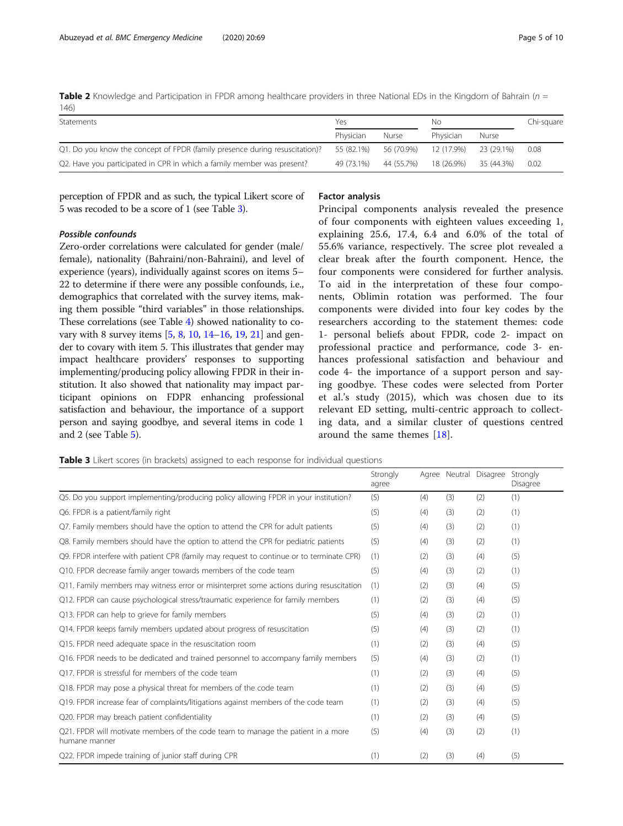<span id="page-4-0"></span>**Table 2** Knowledge and Participation in FPDR among healthcare providers in three National EDs in the Kingdom of Bahrain ( $n =$ 146)

| Statements                                                                  | Yes        |            | NΟ         |            | Chi-square |
|-----------------------------------------------------------------------------|------------|------------|------------|------------|------------|
|                                                                             | Physician  | Nurse      | Physician  | Nurse      |            |
| Q1. Do you know the concept of FPDR (family presence during resuscitation)? | 55 (82.1%) | 56 (70.9%) | 12 (17.9%) | 23 (29.1%) | 0.08       |
| Q2. Have you participated in CPR in which a family member was present?      | 49 (73.1%) | 44 (55.7%) | 18 (26.9%) | 35 (44.3%) | 0.02       |

perception of FPDR and as such, the typical Likert score of 5 was recoded to be a score of 1 (see Table 3).

# Possible confounds

Zero-order correlations were calculated for gender (male/ female), nationality (Bahraini/non-Bahraini), and level of experience (years), individually against scores on items 5– 22 to determine if there were any possible confounds, i.e., demographics that correlated with the survey items, making them possible "third variables" in those relationships. These correlations (see Table [4](#page-5-0)) showed nationality to covary with 8 survey items [\[5](#page-9-0), [8](#page-9-0), [10,](#page-9-0) [14](#page-9-0)–[16,](#page-9-0) [19](#page-9-0), [21](#page-9-0)] and gender to covary with item 5. This illustrates that gender may impact healthcare providers' responses to supporting implementing/producing policy allowing FPDR in their institution. It also showed that nationality may impact participant opinions on FDPR enhancing professional satisfaction and behaviour, the importance of a support person and saying goodbye, and several items in code 1 and 2 (see Table [5\)](#page-6-0).

### Factor analysis

Principal components analysis revealed the presence of four components with eighteen values exceeding 1, explaining 25.6, 17.4, 6.4 and 6.0% of the total of 55.6% variance, respectively. The scree plot revealed a clear break after the fourth component. Hence, the four components were considered for further analysis. To aid in the interpretation of these four components, Oblimin rotation was performed. The four components were divided into four key codes by the researchers according to the statement themes: code 1- personal beliefs about FPDR, code 2- impact on professional practice and performance, code 3- enhances professional satisfaction and behaviour and code 4- the importance of a support person and saying goodbye. These codes were selected from Porter et al.'s study (2015), which was chosen due to its relevant ED setting, multi-centric approach to collecting data, and a similar cluster of questions centred around the same themes [\[18](#page-9-0)].

Table 3 Likert scores (in brackets) assigned to each response for individual questions

|                                                                                                   | Strongly<br>agree |     |     | Agree Neutral Disagree Strongly | Disagree |
|---------------------------------------------------------------------------------------------------|-------------------|-----|-----|---------------------------------|----------|
| Q5. Do you support implementing/producing policy allowing FPDR in your institution?               | (5)               | (4) | (3) | (2)                             | (1)      |
| Q6. FPDR is a patient/family right                                                                | (5)               | (4) | (3) | (2)                             | (1)      |
| Q7. Family members should have the option to attend the CPR for adult patients                    | (5)               | (4) | (3) | (2)                             | (1)      |
| Q8. Family members should have the option to attend the CPR for pediatric patients                | (5)               | (4) | (3) | (2)                             | (1)      |
| Q9. FPDR interfere with patient CPR (family may request to continue or to terminate CPR)          | (1)               | (2) | (3) | (4)                             | (5)      |
| Q10. FPDR decrease family anger towards members of the code team                                  | (5)               | (4) | (3) | (2)                             | (1)      |
| Q11. Family members may witness error or misinterpret some actions during resuscitation           | (1)               | (2) | (3) | (4)                             | (5)      |
| Q12. FPDR can cause psychological stress/traumatic experience for family members                  | (1)               | (2) | (3) | (4)                             | (5)      |
| Q13. FPDR can help to grieve for family members                                                   | (5)               | (4) | (3) | (2)                             | (1)      |
| Q14. FPDR keeps family members updated about progress of resuscitation                            | (5)               | (4) | (3) | (2)                             | (1)      |
| Q15. FPDR need adequate space in the resuscitation room                                           | (1)               | (2) | (3) | (4)                             | (5)      |
| Q16. FPDR needs to be dedicated and trained personnel to accompany family members                 | (5)               | (4) | (3) | (2)                             | (1)      |
| O17. FPDR is stressful for members of the code team                                               | (1)               | (2) | (3) | (4)                             | (5)      |
| Q18. FPDR may pose a physical threat for members of the code team                                 | (1)               | (2) | (3) | (4)                             | (5)      |
| Q19. FPDR increase fear of complaints/litigations against members of the code team                | (1)               | (2) | (3) | (4)                             | (5)      |
| Q20. FPDR may breach patient confidentiality                                                      | (1)               | (2) | (3) | (4)                             | (5)      |
| Q21. FPDR will motivate members of the code team to manage the patient in a more<br>humane manner | (5)               | (4) | (3) | (2)                             | (1)      |
| Q22. FPDR impede training of junior staff during CPR                                              | (1)               | (2) | (3) | (4)                             | (5)      |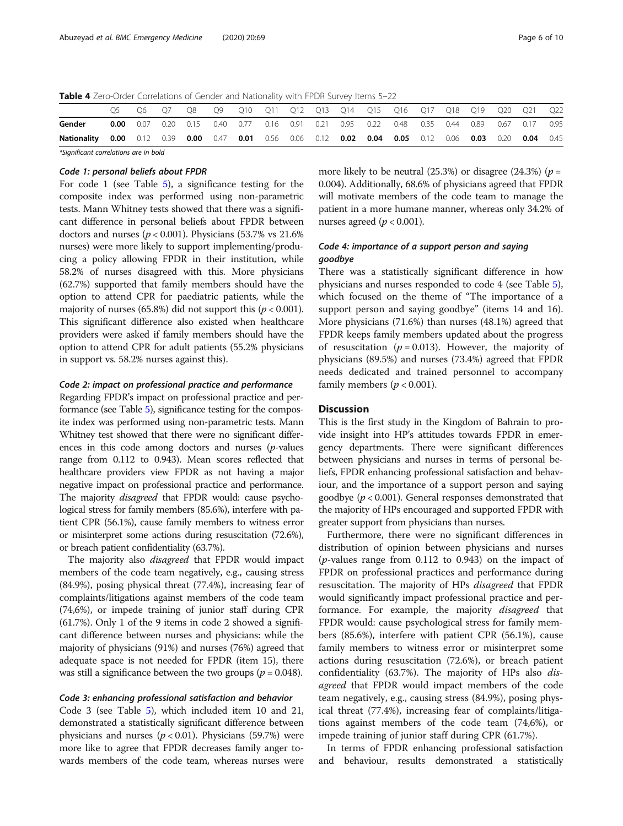<span id="page-5-0"></span>Table 4 Zero-Order Correlations of Gender and Nationality with FPDR Survey Items 5-22

| Q10 Q11 Q12 Q13 Q14 Q15 Q16 Q17 Q18 Q19 Q20 Q21<br>OS<br>09<br>06.<br>Gender<br>0.20 0.15 0.40 0.77 0.16 0.91 0.21 0.95 0.22 0.48 0.35 0.44 0.89 0.67 0.17<br>0.07<br>0.00<br>0.00 0.12 0.39 0.00 0.47 0.01 0.56 0.06 0.12 0.02 0.04 0.05 0.12 0.06 0.03 0.20 0.04 0.45<br>Nationality |      |
|----------------------------------------------------------------------------------------------------------------------------------------------------------------------------------------------------------------------------------------------------------------------------------------|------|
|                                                                                                                                                                                                                                                                                        |      |
|                                                                                                                                                                                                                                                                                        | 0.95 |
|                                                                                                                                                                                                                                                                                        | Q22  |

\*Significant correlations are in bold

# Code 1: personal beliefs about FPDR

For code 1 (see Table [5](#page-6-0)), a significance testing for the composite index was performed using non-parametric tests. Mann Whitney tests showed that there was a significant difference in personal beliefs about FPDR between doctors and nurses ( $p < 0.001$ ). Physicians (53.7% vs 21.6%) nurses) were more likely to support implementing/producing a policy allowing FPDR in their institution, while 58.2% of nurses disagreed with this. More physicians (62.7%) supported that family members should have the option to attend CPR for paediatric patients, while the majority of nurses (65.8%) did not support this ( $p < 0.001$ ). This significant difference also existed when healthcare providers were asked if family members should have the option to attend CPR for adult patients (55.2% physicians in support vs. 58.2% nurses against this).

### Code 2: impact on professional practice and performance

Regarding FPDR's impact on professional practice and performance (see Table [5](#page-6-0)), significance testing for the composite index was performed using non-parametric tests. Mann Whitney test showed that there were no significant differences in this code among doctors and nurses  $(p$ -values range from 0.112 to 0.943). Mean scores reflected that healthcare providers view FPDR as not having a major negative impact on professional practice and performance. The majority disagreed that FPDR would: cause psychological stress for family members (85.6%), interfere with patient CPR (56.1%), cause family members to witness error or misinterpret some actions during resuscitation (72.6%), or breach patient confidentiality (63.7%).

The majority also *disagreed* that FPDR would impact members of the code team negatively, e.g., causing stress (84.9%), posing physical threat (77.4%), increasing fear of complaints/litigations against members of the code team (74,6%), or impede training of junior staff during CPR (61.7%). Only 1 of the 9 items in code 2 showed a significant difference between nurses and physicians: while the majority of physicians (91%) and nurses (76%) agreed that adequate space is not needed for FPDR (item 15), there was still a significance between the two groups ( $p = 0.048$ ).

### Code 3: enhancing professional satisfaction and behavior

Code 3 (see Table [5](#page-6-0)), which included item 10 and 21, demonstrated a statistically significant difference between physicians and nurses ( $p < 0.01$ ). Physicians (59.7%) were more like to agree that FPDR decreases family anger towards members of the code team, whereas nurses were more likely to be neutral (25.3%) or disagree (24.3%) ( $p =$ 0.004). Additionally, 68.6% of physicians agreed that FPDR will motivate members of the code team to manage the patient in a more humane manner, whereas only 34.2% of nurses agreed ( $p < 0.001$ ).

# Code 4: importance of a support person and saying goodbye

There was a statistically significant difference in how physicians and nurses responded to code 4 (see Table [5](#page-6-0)), which focused on the theme of "The importance of a support person and saying goodbye" (items 14 and 16). More physicians (71.6%) than nurses (48.1%) agreed that FPDR keeps family members updated about the progress of resuscitation ( $p = 0.013$ ). However, the majority of physicians (89.5%) and nurses (73.4%) agreed that FPDR needs dedicated and trained personnel to accompany family members ( $p < 0.001$ ).

# **Discussion**

This is the first study in the Kingdom of Bahrain to provide insight into HP's attitudes towards FPDR in emergency departments. There were significant differences between physicians and nurses in terms of personal beliefs, FPDR enhancing professional satisfaction and behaviour, and the importance of a support person and saying goodbye ( $p < 0.001$ ). General responses demonstrated that the majority of HPs encouraged and supported FPDR with greater support from physicians than nurses.

Furthermore, there were no significant differences in distribution of opinion between physicians and nurses  $(p$ -values range from 0.112 to 0.943) on the impact of FPDR on professional practices and performance during resuscitation. The majority of HPs disagreed that FPDR would significantly impact professional practice and performance. For example, the majority *disagreed* that FPDR would: cause psychological stress for family members (85.6%), interfere with patient CPR (56.1%), cause family members to witness error or misinterpret some actions during resuscitation (72.6%), or breach patient confidentiality (63.7%). The majority of HPs also disagreed that FPDR would impact members of the code team negatively, e.g., causing stress (84.9%), posing physical threat (77.4%), increasing fear of complaints/litigations against members of the code team (74,6%), or impede training of junior staff during CPR (61.7%).

In terms of FPDR enhancing professional satisfaction and behaviour, results demonstrated a statistically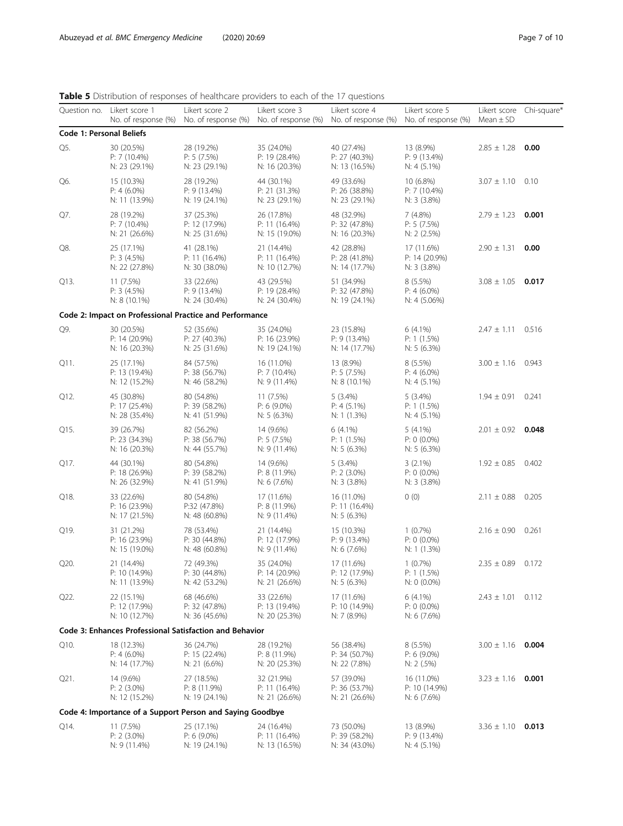# <span id="page-6-0"></span>Table 5 Distribution of responses of healthcare providers to each of the 17 questions

|                                 | Question no. Likert score 1<br>No. of response (%) | Likert score 2                                            | Likert score 3<br>No. of response (%) No. of response (%) No. of response (%) | Likert score 4                                | Likert score 5<br>No. of response (%)         | Likert score Chi-square*<br>Mean $\pm$ SD |       |
|---------------------------------|----------------------------------------------------|-----------------------------------------------------------|-------------------------------------------------------------------------------|-----------------------------------------------|-----------------------------------------------|-------------------------------------------|-------|
| <b>Code 1: Personal Beliefs</b> |                                                    |                                                           |                                                                               |                                               |                                               |                                           |       |
| Q5.                             | 30 (20.5%)<br>$P: 7(10.4\%)$<br>N: 23 (29.1%)      | 28 (19.2%)<br>P: 5(7.5%)<br>N: 23 (29.1%)                 | 35 (24.0%)<br>P: 19 (28.4%)<br>N: 16 (20.3%)                                  | 40 (27.4%)<br>P: 27 (40.3%)<br>N: 13 (16.5%)  | 13 (8.9%)<br>P: 9(13.4%)<br>$N: 4(5.1\%)$     | $2.85 \pm 1.28$                           | 0.00  |
| Q6.                             | 15 (10.3%)<br>$P: 4(6.0\%)$<br>N: 11 (13.9%)       | 28 (19.2%)<br>P: 9(13.4%)<br>N: 19 (24.1%)                | 44 (30.1%)<br>P: 21 (31.3%)<br>N: 23 (29.1%)                                  | 49 (33.6%)<br>P: 26 (38.8%)<br>N: 23 (29.1%)  | 10 (6.8%)<br>$P: 7(10.4\%)$<br>$N: 3(3.8\%)$  | $3.07 \pm 1.10$ 0.10                      |       |
| Q7.                             | 28 (19.2%)<br>$P: 7(10.4\%)$<br>N: 21 (26.6%)      | 37 (25.3%)<br>P: 12 (17.9%)<br>N: 25 (31.6%)              | 26 (17.8%)<br>P: 11(16.4%)<br>N: 15 (19.0%)                                   | 48 (32.9%)<br>P: 32 (47.8%)<br>N: 16 (20.3%)  | 7(4.8%)<br>P: 5(7.5%)<br>N: 2 (2.5%)          | $2.79 \pm 1.23$ 0.001                     |       |
| Q8.                             | 25 (17.1%)<br>P: 3(4.5%)<br>N: 22 (27.8%)          | 41 (28.1%)<br>P: 11 (16.4%)<br>N: 30 (38.0%)              | 21 (14.4%)<br>P: 11(16.4%)<br>N: 10 (12.7%)                                   | 42 (28.8%)<br>P: 28 (41.8%)<br>N: 14 (17.7%)  | 17 (11.6%)<br>P: 14 (20.9%)<br>N: 3(3.8%)     | $2.90 \pm 1.31$ 0.00                      |       |
| Q13.                            | 11 (7.5%)<br>P: 3(4.5%)<br>$N: 8(10.1\%)$          | 33 (22.6%)<br>P: 9(13.4%)<br>N: 24 (30.4%)                | 43 (29.5%)<br>P: 19 (28.4%)<br>N: 24 (30.4%)                                  | 51 (34.9%)<br>P: 32 (47.8%)<br>N: 19 (24.1%)  | $8(5.5\%)$<br>$P: 4(6.0\%)$<br>N: 4 (5.06%)   | $3.08 \pm 1.05$ 0.017                     |       |
|                                 |                                                    | Code 2: Impact on Professional Practice and Performance   |                                                                               |                                               |                                               |                                           |       |
| Q9.                             | 30 (20.5%)<br>P: 14 (20.9%)<br>N: 16 (20.3%)       | 52 (35.6%)<br>P: 27(40.3%)<br>N: 25 (31.6%)               | 35 (24.0%)<br>P: 16(23.9%)<br>N: 19 (24.1%)                                   | 23 (15.8%)<br>$P: 9(13.4\%)$<br>N: 14 (17.7%) | $6(4.1\%)$<br>P: 1(1.5%)<br>$N: 5(6.3\%)$     | $2.47 \pm 1.11$ 0.516                     |       |
| Q11.                            | 25 (17.1%)<br>P: 13(19.4%)<br>N: 12 (15.2%)        | 84 (57.5%)<br>P: 38 (56.7%)<br>N: 46 (58.2%)              | 16 (11.0%)<br>P: 7(10.4%)<br>N: 9 (11.4%)                                     | 13 (8.9%)<br>P: 5(7.5%)<br>$N: 8(10.1\%)$     | $8(5.5\%)$<br>$P: 4(6.0\%)$<br>$N: 4(5.1\%)$  | $3.00 \pm 1.16$ 0.943                     |       |
| Q12.                            | 45 (30.8%)<br>P: 17(25.4%)<br>N: 28 (35.4%)        | 80 (54.8%)<br>P: 39(58.2%)<br>N: 41 (51.9%)               | 11 (7.5%)<br>$P: 6(9.0\%)$<br>$N: 5(6.3\%)$                                   | 5(3.4%)<br>$P: 4(5.1\%)$<br>N: 1(1.3%)        | $5(3.4\%)$<br>P: 1(1.5%)<br>$N: 4(5.1\%)$     | $1.94 \pm 0.91$ 0.241                     |       |
| Q15.                            | 39 (26.7%)<br>P: 23 (34.3%)<br>N: 16 (20.3%)       | 82 (56.2%)<br>P: 38(56.7%)<br>N: 44 (55.7%)               | 14 (9.6%)<br>P: 5(7.5%)<br>N: 9 (11.4%)                                       | $6(4.1\%)$<br>P: 1(1.5%)<br>N: 5 $(6.3\%)$    | $5(4.1\%)$<br>$P: 0 (0.0\%)$<br>N: 5(6.3%)    | $2.01 \pm 0.92$ 0.048                     |       |
| Q17.                            | 44 (30.1%)<br>$P: 18(26.9\%)$<br>N: 26 (32.9%)     | 80 (54.8%)<br>P: 39 (58.2%)<br>N: 41 (51.9%)              | 14 (9.6%)<br>$P: 8(11.9\%)$<br>N: 6(7.6%)                                     | 5(3.4%)<br>$P: 2(3.0\%)$<br>$N: 3$ (3.8%)     | $3(2.1\%)$<br>$P: 0 (0.0\%)$<br>N: 3 (3.8%)   | $1.92 \pm 0.85$ 0.402                     |       |
| Q18.                            | 33 (22.6%)<br>P: 16(23.9%)<br>N: 17 (21.5%)        | 80 (54.8%)<br>P:32 (47.8%)<br>N: 48 (60.8%)               | 17 (11.6%)<br>P: 8(11.9%)<br>$N: 9(11.4\%)$                                   | 16 (11.0%)<br>P: 11 (16.4%)<br>N: 5(6.3%)     | 0(0)                                          | $2.11 \pm 0.88$                           | 0.205 |
| Q19.                            | 31 (21.2%)<br>P: 16(23.9%)<br>N: 15 (19.0%)        | 78 (53.4%)<br>P: 30 (44.8%)<br>N: 48 (60.8%)              | 21 (14.4%)<br>P: 12 (17.9%)<br>N: 9 (11.4%)                                   | 15 (10.3%)<br>$P: 9(13.4\%)$<br>N: 6(7.6%)    | $1(0.7\%)$<br>$P: 0 (0.0\%)$<br>$N: 1(1.3\%)$ | $2.16 \pm 0.90$ 0.261                     |       |
| Q20.                            | 21 (14.4%)<br>P: 10 (14.9%)<br>N: 11 (13.9%)       | 72 (49.3%)<br>P: 30 (44.8%)<br>N: 42 (53.2%)              | 35 (24.0%)<br>P: 14 (20.9%)<br>N: 21 (26.6%)                                  | 17 (11.6%)<br>P: 12 (17.9%)<br>N: 5(6.3%)     | $1(0.7\%)$<br>P: 1 (1.5%)<br>N: 0 (0.0%)      | $2.35 \pm 0.89$ 0.172                     |       |
| Q22.                            | 22 (15.1%)<br>P: 12 (17.9%)<br>N: 10 (12.7%)       | 68 (46.6%)<br>P: 32 (47.8%)<br>N: 36 (45.6%)              | 33 (22.6%)<br>P: 13 (19.4%)<br>N: 20 (25.3%)                                  | 17 (11.6%)<br>P: 10 (14.9%)<br>N: 7 (8.9%)    | $6(4.1\%)$<br>$P: 0 (0.0\%)$<br>N: 6(7.6%)    | $2.43 \pm 1.01$ 0.112                     |       |
|                                 |                                                    | Code 3: Enhances Professional Satisfaction and Behavior   |                                                                               |                                               |                                               |                                           |       |
| Q10.                            | 18 (12.3%)<br>$P: 4(6.0\%)$<br>N: 14 (17.7%)       | 36 (24.7%)<br>P: 15(22.4%)<br>$N: 21 (6.6\%)$             | 28 (19.2%)<br>P: 8(11.9%)<br>N: 20 (25.3%)                                    | 56 (38.4%)<br>P: 34 (50.7%)<br>N: 22 (7.8%)   | $8(5.5\%)$<br>$P: 6(9.0\%)$<br>N: 2(.5%)      | $3.00 \pm 1.16$ 0.004                     |       |
| Q21.                            | 14 (9.6%)<br>P: 2 (3.0%)<br>N: 12 (15.2%)          | 27 (18.5%)<br>P: 8(11.9%)<br>N: 19 (24.1%)                | 32 (21.9%)<br>P: 11 (16.4%)<br>N: 21 (26.6%)                                  | 57 (39.0%)<br>P: 36 (53.7%)<br>N: 21 (26.6%)  | 16 (11.0%)<br>P: 10 (14.9%)<br>$N: 6(7.6\%)$  | $3.23 \pm 1.16$                           | 0.001 |
|                                 |                                                    | Code 4: Importance of a Support Person and Saying Goodbye |                                                                               |                                               |                                               |                                           |       |
| Q14.                            | 11 (7.5%)<br>$P: 2$ (3.0%)<br>N: 9 (11.4%)         | 25 (17.1%)<br>$P: 6(9.0\%)$<br>N: 19 (24.1%)              | 24 (16.4%)<br>P: 11 (16.4%)<br>N: 13 (16.5%)                                  | 73 (50.0%)<br>P: 39 (58.2%)<br>N: 34 (43.0%)  | 13 (8.9%)<br>$P: 9(13.4\%)$<br>$N: 4(5.1\%)$  | $3.36 \pm 1.10$ 0.013                     |       |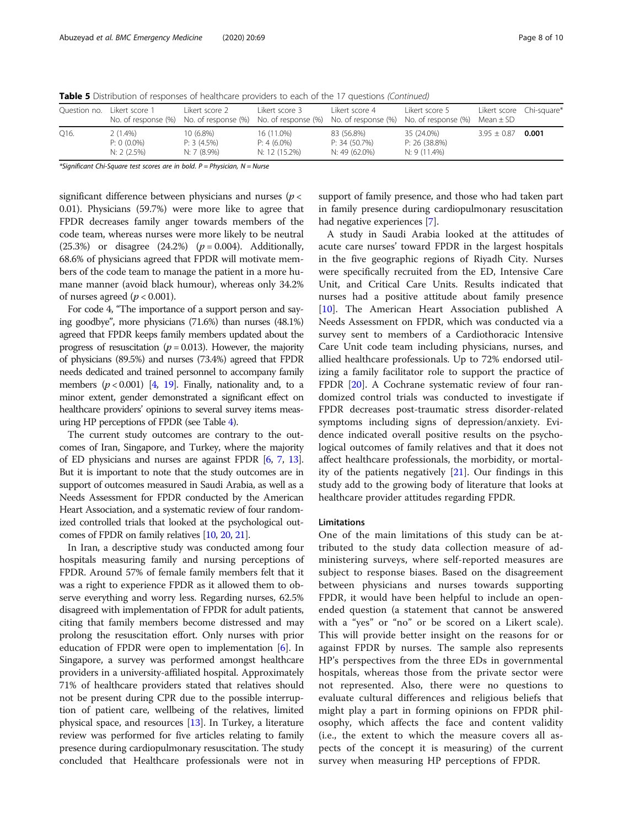Table 5 Distribution of responses of healthcare providers to each of the 17 questions (Continued)

| Ouestion no. | Likert score 1                             | l ikert score 2                            | Likert score 3                               | Likert score 4<br>No. of response (%) No. of response (%) No. of response (%) No. of response (%) No. of response (%) | Likert score 5                                | Likert score Chi-square*<br>Mean $\pm$ SD |       |
|--------------|--------------------------------------------|--------------------------------------------|----------------------------------------------|-----------------------------------------------------------------------------------------------------------------------|-----------------------------------------------|-------------------------------------------|-------|
| Q16.         | $2(1.4\%)$<br>$P: 0 (0.0\%)$<br>N: 2(2.5%) | $10(6.8\%)$<br>P: 3(4.5%)<br>$N: 7(8.9\%)$ | 16 (11.0%)<br>$P: 4(6.0\%)$<br>N: 12 (15.2%) | 83 (56.8%)<br>P: 34(50.7%)<br>N: 49 (62.0%)                                                                           | 35 (24.0%)<br>P: 26 (38.8%)<br>$N: 9(11.4\%)$ | $3.95 \pm 0.87$                           | 0.001 |

\*Significant Chi-Square test scores are in bold.  $P =$  Physician,  $N =$  Nurse

significant difference between physicians and nurses ( $p <$ 0.01). Physicians (59.7%) were more like to agree that FPDR decreases family anger towards members of the code team, whereas nurses were more likely to be neutral (25.3%) or disagree  $(24.2%) (p = 0.004)$ . Additionally, 68.6% of physicians agreed that FPDR will motivate members of the code team to manage the patient in a more humane manner (avoid black humour), whereas only 34.2% of nurses agreed ( $p < 0.001$ ).

For code 4, "The importance of a support person and saying goodbye", more physicians (71.6%) than nurses (48.1%) agreed that FPDR keeps family members updated about the progress of resuscitation ( $p = 0.013$ ). However, the majority of physicians (89.5%) and nurses (73.4%) agreed that FPDR needs dedicated and trained personnel to accompany family members  $(p < 0.001)$  [\[4,](#page-9-0) [19\]](#page-9-0). Finally, nationality and, to a minor extent, gender demonstrated a significant effect on healthcare providers' opinions to several survey items measuring HP perceptions of FPDR (see Table [4\)](#page-5-0).

The current study outcomes are contrary to the outcomes of Iran, Singapore, and Turkey, where the majority of ED physicians and nurses are against FPDR [\[6](#page-9-0), [7,](#page-9-0) [13](#page-9-0)]. But it is important to note that the study outcomes are in support of outcomes measured in Saudi Arabia, as well as a Needs Assessment for FPDR conducted by the American Heart Association, and a systematic review of four randomized controlled trials that looked at the psychological outcomes of FPDR on family relatives [[10](#page-9-0), [20](#page-9-0), [21](#page-9-0)].

In Iran, a descriptive study was conducted among four hospitals measuring family and nursing perceptions of FPDR. Around 57% of female family members felt that it was a right to experience FPDR as it allowed them to observe everything and worry less. Regarding nurses, 62.5% disagreed with implementation of FPDR for adult patients, citing that family members become distressed and may prolong the resuscitation effort. Only nurses with prior education of FPDR were open to implementation [\[6\]](#page-9-0). In Singapore, a survey was performed amongst healthcare providers in a university-affiliated hospital. Approximately 71% of healthcare providers stated that relatives should not be present during CPR due to the possible interruption of patient care, wellbeing of the relatives, limited physical space, and resources [[13](#page-9-0)]. In Turkey, a literature review was performed for five articles relating to family presence during cardiopulmonary resuscitation. The study concluded that Healthcare professionals were not in

support of family presence, and those who had taken part in family presence during cardiopulmonary resuscitation had negative experiences [[7](#page-9-0)].

A study in Saudi Arabia looked at the attitudes of acute care nurses' toward FPDR in the largest hospitals in the five geographic regions of Riyadh City. Nurses were specifically recruited from the ED, Intensive Care Unit, and Critical Care Units. Results indicated that nurses had a positive attitude about family presence [[10\]](#page-9-0). The American Heart Association published A Needs Assessment on FPDR, which was conducted via a survey sent to members of a Cardiothoracic Intensive Care Unit code team including physicians, nurses, and allied healthcare professionals. Up to 72% endorsed utilizing a family facilitator role to support the practice of FPDR [\[20\]](#page-9-0). A Cochrane systematic review of four randomized control trials was conducted to investigate if FPDR decreases post-traumatic stress disorder-related symptoms including signs of depression/anxiety. Evidence indicated overall positive results on the psychological outcomes of family relatives and that it does not affect healthcare professionals, the morbidity, or mortality of the patients negatively [[21\]](#page-9-0). Our findings in this study add to the growing body of literature that looks at healthcare provider attitudes regarding FPDR.

### Limitations

One of the main limitations of this study can be attributed to the study data collection measure of administering surveys, where self-reported measures are subject to response biases. Based on the disagreement between physicians and nurses towards supporting FPDR, it would have been helpful to include an openended question (a statement that cannot be answered with a "yes" or "no" or be scored on a Likert scale). This will provide better insight on the reasons for or against FPDR by nurses. The sample also represents HP's perspectives from the three EDs in governmental hospitals, whereas those from the private sector were not represented. Also, there were no questions to evaluate cultural differences and religious beliefs that might play a part in forming opinions on FPDR philosophy, which affects the face and content validity (i.e., the extent to which the measure covers all aspects of the concept it is measuring) of the current survey when measuring HP perceptions of FPDR.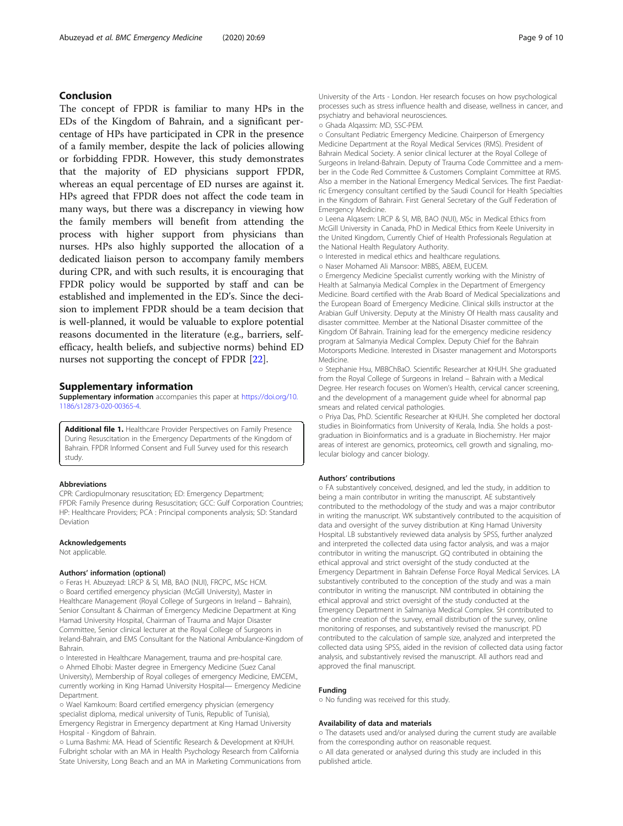# <span id="page-8-0"></span>Conclusion

The concept of FPDR is familiar to many HPs in the EDs of the Kingdom of Bahrain, and a significant percentage of HPs have participated in CPR in the presence of a family member, despite the lack of policies allowing or forbidding FPDR. However, this study demonstrates that the majority of ED physicians support FPDR, whereas an equal percentage of ED nurses are against it. HPs agreed that FPDR does not affect the code team in many ways, but there was a discrepancy in viewing how the family members will benefit from attending the process with higher support from physicians than nurses. HPs also highly supported the allocation of a dedicated liaison person to accompany family members during CPR, and with such results, it is encouraging that FPDR policy would be supported by staff and can be established and implemented in the ED's. Since the decision to implement FPDR should be a team decision that is well-planned, it would be valuable to explore potential reasons documented in the literature (e.g., barriers, selfefficacy, health beliefs, and subjective norms) behind ED nurses not supporting the concept of FPDR [[22](#page-9-0)].

## Supplementary information

Supplementary information accompanies this paper at [https://doi.org/10.](https://doi.org/10.1186/s12873-020-00365-4) [1186/s12873-020-00365-4](https://doi.org/10.1186/s12873-020-00365-4).

Additional file 1. Healthcare Provider Perspectives on Family Presence During Resuscitation in the Emergency Departments of the Kingdom of Bahrain. FPDR Informed Consent and Full Survey used for this research study.

### Abbreviations

CPR: Cardiopulmonary resuscitation; ED: Emergency Department; FPDR: Family Presence during Resuscitation; GCC: Gulf Corporation Countries; HP: Healthcare Providers; PCA : Principal components analysis; SD: Standard Deviation

### Acknowledgements

Not applicable.

### Authors' information (optional)

o Feras H. Abuzeyad: LRCP & SI, MB, BAO (NUI), FRCPC, MSc HCM. ○ Board certified emergency physician (McGill University), Master in Healthcare Management (Royal College of Surgeons in Ireland – Bahrain), Senior Consultant & Chairman of Emergency Medicine Department at King Hamad University Hospital, Chairman of Trauma and Major Disaster Committee, Senior clinical lecturer at the Royal College of Surgeons in Ireland-Bahrain, and EMS Consultant for the National Ambulance-Kingdom of Bahrain.

○ Interested in Healthcare Management, trauma and pre-hospital care. ○ Ahmed Elhobi: Master degree in Emergency Medicine (Suez Canal University), Membership of Royal colleges of emergency Medicine, EMCEM., currently working in King Hamad University Hospital— Emergency Medicine Department.

○ Wael Kamkoum: Board certified emergency physician (emergency specialist diploma, medical university of Tunis, Republic of Tunisia), Emergency Registrar in Emergency department at King Hamad University Hospital - Kingdom of Bahrain.

○ Luma Bashmi: MA. Head of Scientific Research & Development at KHUH. Fulbright scholar with an MA in Health Psychology Research from California State University, Long Beach and an MA in Marketing Communications from University of the Arts - London. Her research focuses on how psychological processes such as stress influence health and disease, wellness in cancer, and psychiatry and behavioral neurosciences.

○ Ghada Alqassim: MD, SSC-PEM.

○ Consultant Pediatric Emergency Medicine. Chairperson of Emergency Medicine Department at the Royal Medical Services (RMS). President of Bahrain Medical Society. A senior clinical lecturer at the Royal College of Surgeons in Ireland-Bahrain. Deputy of Trauma Code Committee and a member in the Code Red Committee & Customers Complaint Committee at RMS. Also a member in the National Emergency Medical Services. The first Paediatric Emergency consultant certified by the Saudi Council for Health Specialties in the Kingdom of Bahrain. First General Secretary of the Gulf Federation of Emergency Medicine.

○ Leena Alqasem: LRCP & SI, MB, BAO (NUI), MSc in Medical Ethics from McGill University in Canada, PhD in Medical Ethics from Keele University in the United Kingdom, Currently Chief of Health Professionals Regulation at the National Health Regulatory Authority.

○ Interested in medical ethics and healthcare regulations.

○ Naser Mohamed Ali Mansoor: MBBS, ABEM, EUCEM.

○ Emergency Medicine Specialist currently working with the Ministry of Health at Salmanyia Medical Complex in the Department of Emergency Medicine. Board certified with the Arab Board of Medical Specializations and the European Board of Emergency Medicine. Clinical skills instructor at the Arabian Gulf University. Deputy at the Ministry Of Health mass causality and disaster committee. Member at the National Disaster committee of the Kingdom Of Bahrain. Training lead for the emergency medicine residency program at Salmanyia Medical Complex. Deputy Chief for the Bahrain Motorsports Medicine. Interested in Disaster management and Motorsports Medicine.

○ Stephanie Hsu, MBBChBaO. Scientific Researcher at KHUH. She graduated from the Royal College of Surgeons in Ireland – Bahrain with a Medical Degree. Her research focuses on Women's Health, cervical cancer screening, and the development of a management guide wheel for abnormal pap smears and related cervical pathologies.

○ Priya Das, PhD. Scientific Researcher at KHUH. She completed her doctoral studies in Bioinformatics from University of Kerala, India. She holds a postgraduation in Bioinformatics and is a graduate in Biochemistry. Her major areas of interest are genomics, proteomics, cell growth and signaling, molecular biology and cancer biology.

### Authors' contributions

○ FA substantively conceived, designed, and led the study, in addition to being a main contributor in writing the manuscript. AE substantively contributed to the methodology of the study and was a major contributor in writing the manuscript. WK substantively contributed to the acquisition of data and oversight of the survey distribution at King Hamad University Hospital. LB substantively reviewed data analysis by SPSS, further analyzed and interpreted the collected data using factor analysis, and was a major contributor in writing the manuscript. GQ contributed in obtaining the ethical approval and strict oversight of the study conducted at the Emergency Department in Bahrain Defense Force Royal Medical Services. LA substantively contributed to the conception of the study and was a main contributor in writing the manuscript. NM contributed in obtaining the ethical approval and strict oversight of the study conducted at the Emergency Department in Salmaniya Medical Complex. SH contributed to the online creation of the survey, email distribution of the survey, online monitoring of responses, and substantively revised the manuscript. PD contributed to the calculation of sample size, analyzed and interpreted the collected data using SPSS, aided in the revision of collected data using factor analysis, and substantively revised the manuscript. All authors read and approved the final manuscript.

### Funding

○ No funding was received for this study.

### Availability of data and materials

○ The datasets used and/or analysed during the current study are available from the corresponding author on reasonable request. ○ All data generated or analysed during this study are included in this published article.